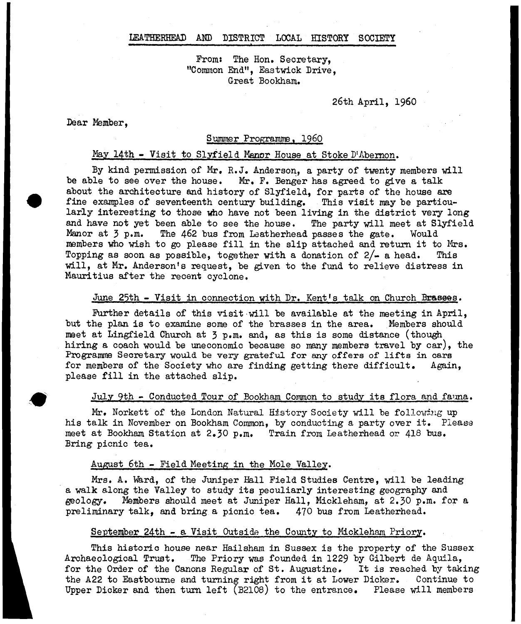### LEATHERHEAD AND DISTRICT LOCAL HISTORY SOCIETY

From: The Hon. Secretary. "Common End", Eastwick Drive, Great Bookham.

# 26th April, i960

Dear Member,

#### Summer Programme. I960

# May 14th - Visit to Slyfield Manor House at Stoke D'Abernon.

By kind permission of Mr. R.J. Anderson, a party of twenty members will be able to see over the house. Mr. F. Benger has agreed to give a talk about the architecture and history of Slyfield, for parts of the house are fine examples of seventeenth century building. This visit may be particularly interesting to those who have not been living in the district very long and have not yet been able to see the house. The party will meet at Slyfield Manor at 3 p.m. The 462 bus from Leatherhead passes the gate. Would members who wish to go please fill in the slip attached and return it to Mrs. Topping as soon as possible, together with a donation of  $2/-$  a head. This will, at Mr. Anderson's request, be given to the fund to relieve distress in Mauritius after the recent cyclone.

# June 25th - Visit in connection with Dr. Kent's talk on Church Brasees.

Further details of this visit will be available at the meeting in April, but the plan is to examine some of the brasses in the area. Members should meet at Lingfield Church at 3 p.m. and, as this is some distance (though hiring a coach would be uneconomic beoause so many members travel by car), the Programme Secretary would be very grateful for any offers of lifts in cars for members of the Society who are finding getting there difficult. Again, please fill in the attached slip.

### July 9th - Conducted Tour of Bookham Common to study its flora and fauna.

Mr, Norkett of the London Natural History Society will be following up his talk in November on Bookham Common, by conducting a party over it. Please meet at Bookham Station at 2.30 p.m. Train from Leatherhead or 418 bus. Bring picnic tea.

#### August 6th - Field Meeting in the Mole Valley.

Mrs. A. Ward, of the Juniper Hall Field Studies Centre, will be leading a walk along the Valley to study its peculiarly interesting geography and geology. Members should meet at Juniper Hall, Mickleham, at 2.30 p.m. for a preliminary talk, and bring a picnic tea. 470 bus from Leatherhead.

## September 24th - a Visit Outside the County to Mickleham Priory.

This historic house near Hailsham in Sussex is the property of the Sussex Archaeological Trust. The Priory was founded in 1229 by Gilbert de Aquila, for the Order of the Canons Regular of St. Augustine, It is reached by taking the A22 to Eastbourne and turning right from it at Lower Dicker. Continue to Upper Dicker and then turn left (B2108) to the entrance. Please will members